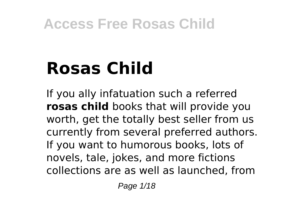# **Rosas Child**

If you ally infatuation such a referred **rosas child** books that will provide you worth, get the totally best seller from us currently from several preferred authors. If you want to humorous books, lots of novels, tale, jokes, and more fictions collections are as well as launched, from

Page 1/18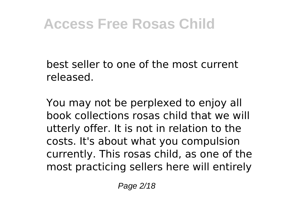best seller to one of the most current released.

You may not be perplexed to enjoy all book collections rosas child that we will utterly offer. It is not in relation to the costs. It's about what you compulsion currently. This rosas child, as one of the most practicing sellers here will entirely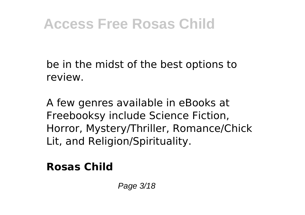be in the midst of the best options to review.

A few genres available in eBooks at Freebooksy include Science Fiction, Horror, Mystery/Thriller, Romance/Chick Lit, and Religion/Spirituality.

#### **Rosas Child**

Page 3/18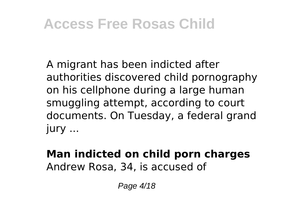A migrant has been indicted after authorities discovered child pornography on his cellphone during a large human smuggling attempt, according to court documents. On Tuesday, a federal grand jury ...

#### **Man indicted on child porn charges** Andrew Rosa, 34, is accused of

Page 4/18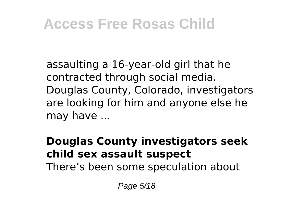assaulting a 16-year-old girl that he contracted through social media. Douglas County, Colorado, investigators are looking for him and anyone else he may have ...

#### **Douglas County investigators seek child sex assault suspect**

There's been some speculation about

Page 5/18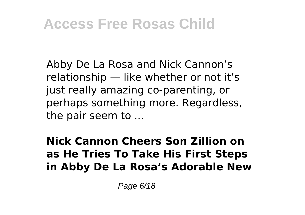Abby De La Rosa and Nick Cannon's relationship — like whether or not it's just really amazing co-parenting, or perhaps something more. Regardless, the pair seem to ...

**Nick Cannon Cheers Son Zillion on as He Tries To Take His First Steps in Abby De La Rosa's Adorable New**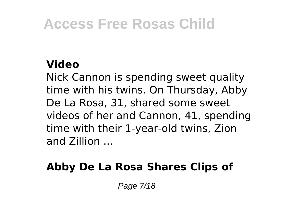#### **Video**

Nick Cannon is spending sweet quality time with his twins. On Thursday, Abby De La Rosa, 31, shared some sweet videos of her and Cannon, 41, spending time with their 1-year-old twins, Zion and Zillion ...

#### **Abby De La Rosa Shares Clips of**

Page 7/18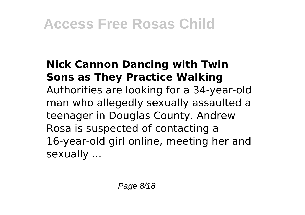#### **Nick Cannon Dancing with Twin Sons as They Practice Walking** Authorities are looking for a 34-year-old man who allegedly sexually assaulted a teenager in Douglas County. Andrew Rosa is suspected of contacting a 16-year-old girl online, meeting her and

sexually ...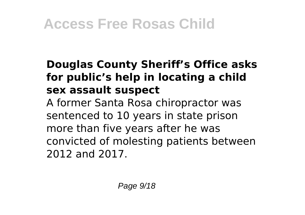#### **Douglas County Sheriff's Office asks for public's help in locating a child sex assault suspect**

A former Santa Rosa chiropractor was sentenced to 10 years in state prison more than five years after he was convicted of molesting patients between 2012 and 2017.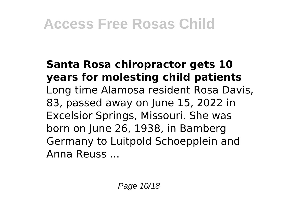#### **Santa Rosa chiropractor gets 10 years for molesting child patients** Long time Alamosa resident Rosa Davis, 83, passed away on June 15, 2022 in Excelsior Springs, Missouri. She was born on June 26, 1938, in Bamberg Germany to Luitpold Schoepplein and Anna Reuss ...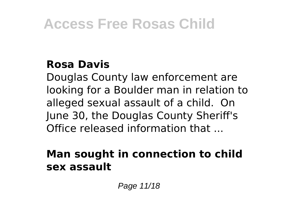#### **Rosa Davis**

Douglas County law enforcement are looking for a Boulder man in relation to alleged sexual assault of a child. On June 30, the Douglas County Sheriff's Office released information that ...

#### **Man sought in connection to child sex assault**

Page 11/18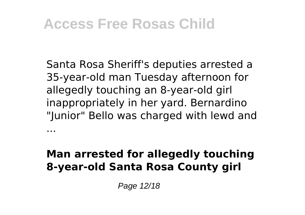...

Santa Rosa Sheriff's deputies arrested a 35-year-old man Tuesday afternoon for allegedly touching an 8-year-old girl inappropriately in her yard. Bernardino "Junior" Bello was charged with lewd and

#### **Man arrested for allegedly touching 8-year-old Santa Rosa County girl**

Page 12/18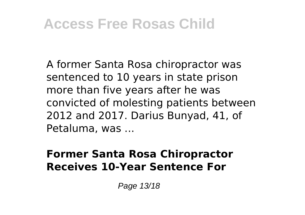A former Santa Rosa chiropractor was sentenced to 10 years in state prison more than five years after he was convicted of molesting patients between 2012 and 2017. Darius Bunyad, 41, of Petaluma, was ...

#### **Former Santa Rosa Chiropractor Receives 10-Year Sentence For**

Page 13/18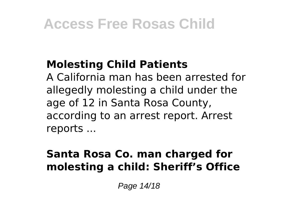#### **Molesting Child Patients**

A California man has been arrested for allegedly molesting a child under the age of 12 in Santa Rosa County, according to an arrest report. Arrest reports ...

#### **Santa Rosa Co. man charged for molesting a child: Sheriff's Office**

Page 14/18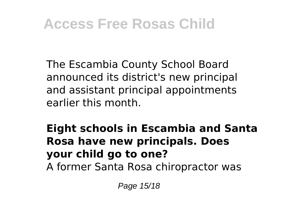The Escambia County School Board announced its district's new principal and assistant principal appointments earlier this month.

**Eight schools in Escambia and Santa Rosa have new principals. Does your child go to one?**

A former Santa Rosa chiropractor was

Page 15/18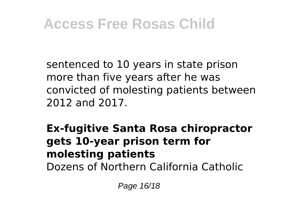sentenced to 10 years in state prison more than five years after he was convicted of molesting patients between 2012 and 2017.

**Ex-fugitive Santa Rosa chiropractor gets 10-year prison term for molesting patients** Dozens of Northern California Catholic

Page 16/18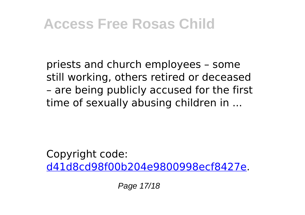priests and church employees – some still working, others retired or deceased – are being publicly accused for the first time of sexually abusing children in ...

Copyright code: [d41d8cd98f00b204e9800998ecf8427e.](/sitemap.xml)

Page 17/18